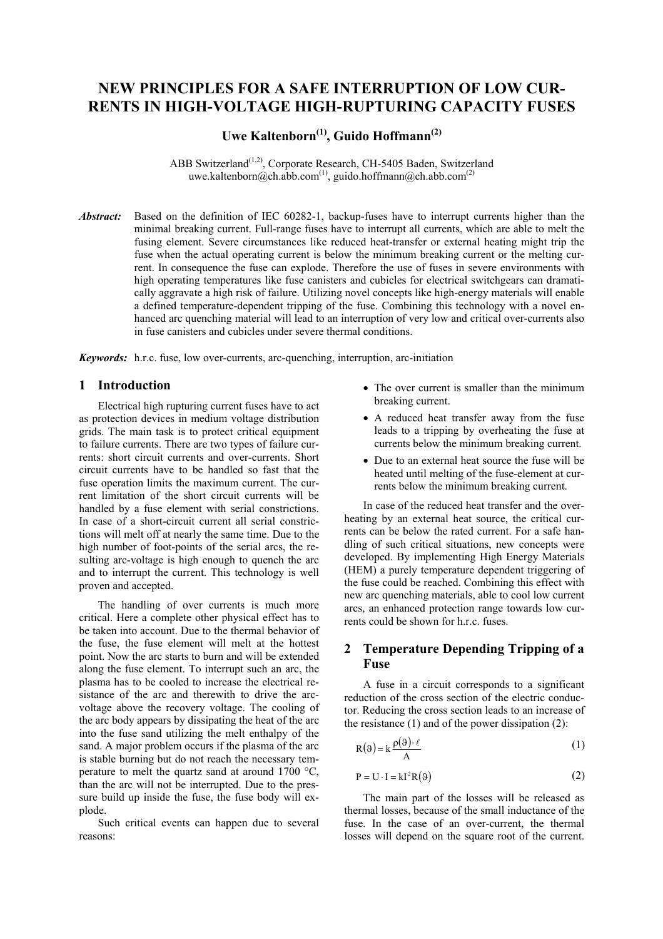# **NEW PRINCIPLES FOR A SAFE INTERRUPTION OF LOW CUR-RENTS IN HIGH-VOLTAGE HIGH-RUPTURING CAPACITY FUSES**

# **Uwe Kaltenborn(1), Guido Hoffmann(2)**

ABB Switzerland<sup>(1,2)</sup>, Corporate Research, CH-5405 Baden, Switzerland uwe.kaltenborn@ch.abb.com<sup>(1)</sup>, guido.hoffmann@ch.abb.com<sup>(2)</sup>

*Abstract:* Based on the definition of IEC 60282-1, backup-fuses have to interrupt currents higher than the minimal breaking current. Full-range fuses have to interrupt all currents, which are able to melt the fusing element. Severe circumstances like reduced heat-transfer or external heating might trip the fuse when the actual operating current is below the minimum breaking current or the melting current. In consequence the fuse can explode. Therefore the use of fuses in severe environments with high operating temperatures like fuse canisters and cubicles for electrical switchgears can dramatically aggravate a high risk of failure. Utilizing novel concepts like high-energy materials will enable a defined temperature-dependent tripping of the fuse. Combining this technology with a novel enhanced arc quenching material will lead to an interruption of very low and critical over-currents also in fuse canisters and cubicles under severe thermal conditions.

*Keywords:* h.r.c. fuse, low over-currents, arc-quenching, interruption, arc-initiation

## **1 Introduction**

Electrical high rupturing current fuses have to act as protection devices in medium voltage distribution grids. The main task is to protect critical equipment to failure currents. There are two types of failure currents: short circuit currents and over-currents. Short circuit currents have to be handled so fast that the fuse operation limits the maximum current. The current limitation of the short circuit currents will be handled by a fuse element with serial constrictions. In case of a short-circuit current all serial constrictions will melt off at nearly the same time. Due to the high number of foot-points of the serial arcs, the resulting arc-voltage is high enough to quench the arc and to interrupt the current. This technology is well proven and accepted.

The handling of over currents is much more critical. Here a complete other physical effect has to be taken into account. Due to the thermal behavior of the fuse, the fuse element will melt at the hottest point. Now the arc starts to burn and will be extended along the fuse element. To interrupt such an arc, the plasma has to be cooled to increase the electrical resistance of the arc and therewith to drive the arcvoltage above the recovery voltage. The cooling of the arc body appears by dissipating the heat of the arc into the fuse sand utilizing the melt enthalpy of the sand. A major problem occurs if the plasma of the arc is stable burning but do not reach the necessary temperature to melt the quartz sand at around 1700 °C, than the arc will not be interrupted. Due to the pressure build up inside the fuse, the fuse body will explode.

Such critical events can happen due to several reasons:

- The over current is smaller than the minimum breaking current.
- A reduced heat transfer away from the fuse leads to a tripping by overheating the fuse at currents below the minimum breaking current.
- Due to an external heat source the fuse will be heated until melting of the fuse-element at currents below the minimum breaking current.

In case of the reduced heat transfer and the overheating by an external heat source, the critical currents can be below the rated current. For a safe handling of such critical situations, new concepts were developed. By implementing High Energy Materials (HEM) a purely temperature dependent triggering of the fuse could be reached. Combining this effect with new arc quenching materials, able to cool low current arcs, an enhanced protection range towards low currents could be shown for h r c. fuses.

## **2 Temperature Depending Tripping of a Fuse**

A fuse in a circuit corresponds to a significant reduction of the cross section of the electric conductor. Reducing the cross section leads to an increase of the resistance  $(1)$  and of the power dissipation  $(2)$ :

$$
R(\theta) = k \frac{\rho(\theta) \cdot \ell}{A} \tag{1}
$$

$$
P = U \cdot I = kI^2 R(9)
$$
 (2)

The main part of the losses will be released as thermal losses, because of the small inductance of the fuse. In the case of an over-current, the thermal losses will depend on the square root of the current.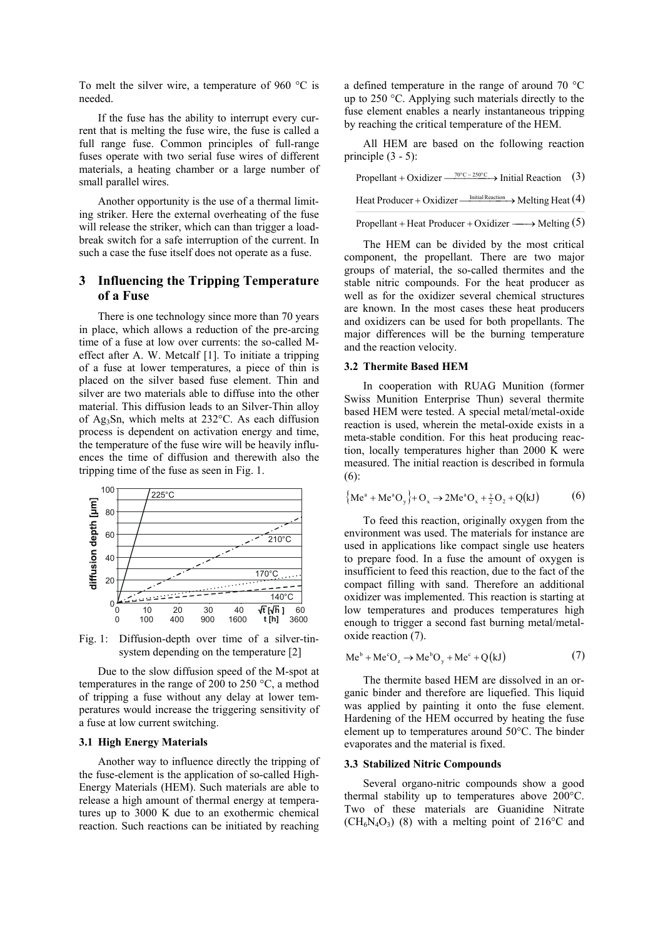To melt the silver wire, a temperature of 960 °C is needed.

If the fuse has the ability to interrupt every current that is melting the fuse wire, the fuse is called a full range fuse. Common principles of full-range fuses operate with two serial fuse wires of different materials, a heating chamber or a large number of small parallel wires.

Another opportunity is the use of a thermal limiting striker. Here the external overheating of the fuse will release the striker, which can than trigger a loadbreak switch for a safe interruption of the current. In such a case the fuse itself does not operate as a fuse.

## **3 Influencing the Tripping Temperature of a Fuse**

There is one technology since more than 70 years in place, which allows a reduction of the pre-arcing time of a fuse at low over currents: the so-called Meffect after A. W. Metcalf [1]. To initiate a tripping of a fuse at lower temperatures, a piece of thin is placed on the silver based fuse element. Thin and silver are two materials able to diffuse into the other material. This diffusion leads to an Silver-Thin alloy of Ag3Sn, which melts at 232°C. As each diffusion process is dependent on activation energy and time, the temperature of the fuse wire will be heavily influences the time of diffusion and therewith also the tripping time of the fuse as seen in Fig. 1.



Fig. 1: Diffusion-depth over time of a silver-tinsystem depending on the temperature [2]

Due to the slow diffusion speed of the M-spot at temperatures in the range of 200 to 250 °C, a method of tripping a fuse without any delay at lower temperatures would increase the triggering sensitivity of a fuse at low current switching.

### **3.1 High Energy Materials**

Another way to influence directly the tripping of the fuse-element is the application of so-called High-Energy Materials (HEM). Such materials are able to release a high amount of thermal energy at temperatures up to 3000 K due to an exothermic chemical reaction. Such reactions can be initiated by reaching a defined temperature in the range of around 70 °C up to 250 °C. Applying such materials directly to the fuse element enables a nearly instantaneous tripping by reaching the critical temperature of the HEM.

All HEM are based on the following reaction principle  $(3 - 5)$ :

| Propellant + Oxidizer $\xrightarrow{70^{\circ}C-250^{\circ}C}$ Initial Reaction (3) |  |  |
|-------------------------------------------------------------------------------------|--|--|
| Heat Producer + Oxidizer $\xrightarrow{\text{Initial Reaction}}$ Melting Heat (4)   |  |  |
| Propellant + Heat Producer + Oxidizer $\longrightarrow$ Melting (5)                 |  |  |

The HEM can be divided by the most critical component, the propellant. There are two major groups of material, the so-called thermites and the stable nitric compounds. For the heat producer as well as for the oxidizer several chemical structures are known. In the most cases these heat producers and oxidizers can be used for both propellants. The major differences will be the burning temperature and the reaction velocity.

#### **3.2 Thermite Based HEM**

In cooperation with RUAG Munition (former Swiss Munition Enterprise Thun) several thermite based HEM were tested. A special metal/metal-oxide reaction is used, wherein the metal-oxide exists in a meta-stable condition. For this heat producing reaction, locally temperatures higher than 2000 K were measured. The initial reaction is described in formula (6):

$$
\{M e^{a} + M e^{a} O_{y}\} + O_{x} \to 2M e^{a} O_{x} + \frac{y}{2} O_{2} + Q(kJ) \tag{6}
$$

To feed this reaction, originally oxygen from the environment was used. The materials for instance are used in applications like compact single use heaters to prepare food. In a fuse the amount of oxygen is insufficient to feed this reaction, due to the fact of the compact filling with sand. Therefore an additional oxidizer was implemented. This reaction is starting at low temperatures and produces temperatures high enough to trigger a second fast burning metal/metaloxide reaction (7).

$$
Me^{b} + Me^{c}O_{z} \rightarrow Me^{b}O_{y} + Me^{c} + Q(kJ)
$$
 (7)

The thermite based HEM are dissolved in an organic binder and therefore are liquefied. This liquid was applied by painting it onto the fuse element. Hardening of the HEM occurred by heating the fuse element up to temperatures around 50°C. The binder evaporates and the material is fixed.

#### **3.3 Stabilized Nitric Compounds**

Several organo-nitric compounds show a good thermal stability up to temperatures above 200°C. Two of these materials are Guanidine Nitrate  $(CH_6N_4O_3)$  (8) with a melting point of 216<sup>o</sup>C and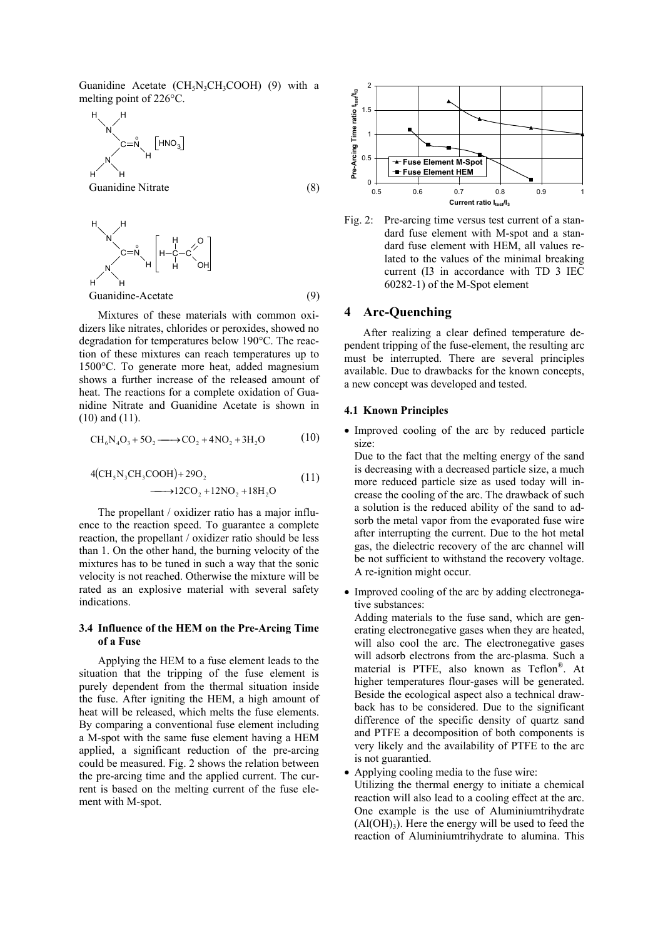Guanidine Acetate ( $CH<sub>5</sub>N<sub>3</sub>CH<sub>3</sub>COOH$ ) (9) with a melting point of 226°C.

$$
H\nV\nC=\overset{\circ}{N}\nH\nGuanidine Nitrate
$$
\n(8)

$$
H\begin{bmatrix} H \\ H \end{bmatrix} = R \begin{bmatrix} H \\ H - C - C \end{bmatrix} \begin{bmatrix} H \\ H \end{bmatrix}
$$
\nQuantime-Acetate

\n
$$
(9)
$$

Mixtures of these materials with common oxidizers like nitrates, chlorides or peroxides, showed no degradation for temperatures below 190°C. The reaction of these mixtures can reach temperatures up to 1500°C. To generate more heat, added magnesium shows a further increase of the released amount of heat. The reactions for a complete oxidation of Guanidine Nitrate and Guanidine Acetate is shown in (10) and (11).

$$
CH_6N_4O_3 + 5O_2 \longrightarrow CO_2 + 4NO_2 + 3H_2O \tag{10}
$$

$$
4(CH5N3CH3COOH) + 29O2
$$
\n
$$
30 + 12CO2 + 12NO2 + 18H2O
$$
\n(11)

The propellant / oxidizer ratio has a major influence to the reaction speed. To guarantee a complete reaction, the propellant / oxidizer ratio should be less than 1. On the other hand, the burning velocity of the mixtures has to be tuned in such a way that the sonic velocity is not reached. Otherwise the mixture will be rated as an explosive material with several safety indications.

#### **3.4 Influence of the HEM on the Pre-Arcing Time of a Fuse**

Applying the HEM to a fuse element leads to the situation that the tripping of the fuse element is purely dependent from the thermal situation inside the fuse. After igniting the HEM, a high amount of heat will be released, which melts the fuse elements. By comparing a conventional fuse element including a M-spot with the same fuse element having a HEM applied, a significant reduction of the pre-arcing could be measured. Fig. 2 shows the relation between the pre-arcing time and the applied current. The current is based on the melting current of the fuse element with M-spot.



Fig. 2: Pre-arcing time versus test current of a standard fuse element with M-spot and a standard fuse element with HEM, all values related to the values of the minimal breaking current (I3 in accordance with TD 3 IEC 60282-1) of the M-Spot element

## **4 Arc-Quenching**

After realizing a clear defined temperature dependent tripping of the fuse-element, the resulting arc must be interrupted. There are several principles available. Due to drawbacks for the known concepts, a new concept was developed and tested.

## **4.1 Known Principles**

• Improved cooling of the arc by reduced particle size:

Due to the fact that the melting energy of the sand is decreasing with a decreased particle size, a much more reduced particle size as used today will increase the cooling of the arc. The drawback of such a solution is the reduced ability of the sand to adsorb the metal vapor from the evaporated fuse wire after interrupting the current. Due to the hot metal gas, the dielectric recovery of the arc channel will be not sufficient to withstand the recovery voltage. A re-ignition might occur.

• Improved cooling of the arc by adding electronegative substances:

Adding materials to the fuse sand, which are generating electronegative gases when they are heated, will also cool the arc. The electronegative gases will adsorb electrons from the arc-plasma. Such a material is PTFE, also known as Teflon® . At higher temperatures flour-gases will be generated. Beside the ecological aspect also a technical drawback has to be considered. Due to the significant difference of the specific density of quartz sand and PTFE a decomposition of both components is very likely and the availability of PTFE to the arc is not guarantied.

- Applying cooling media to the fuse wire:
- Utilizing the thermal energy to initiate a chemical reaction will also lead to a cooling effect at the arc. One example is the use of Aluminiumtrihydrate  $(Al(OH)<sub>3</sub>)$ . Here the energy will be used to feed the reaction of Aluminiumtrihydrate to alumina. This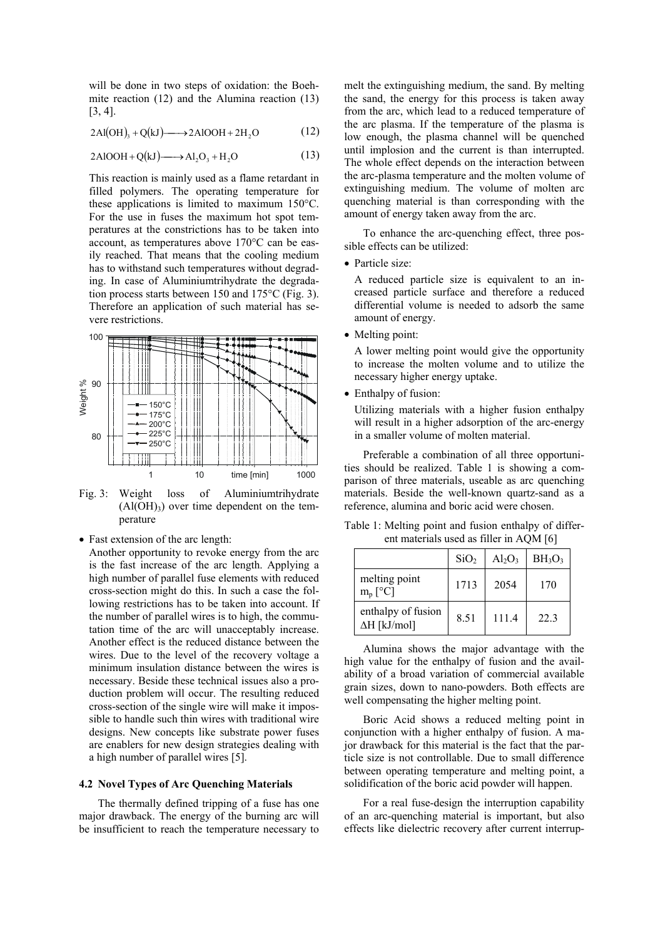will be done in two steps of oxidation: the Boehmite reaction (12) and the Alumina reaction (13) [3, 4].

$$
2\text{Al(OH)}_{3} + \text{Q(kJ)} \longrightarrow 2\text{AlOOH} + 2\text{H}_{2}\text{O}
$$
 (12)

$$
2\text{AlOOH} + \text{Q(kJ)} \longrightarrow \text{Al}_2\text{O}_3 + \text{H}_2\text{O}
$$
 (13)

This reaction is mainly used as a flame retardant in filled polymers. The operating temperature for these applications is limited to maximum 150°C. For the use in fuses the maximum hot spot temperatures at the constrictions has to be taken into account, as temperatures above 170°C can be easily reached. That means that the cooling medium has to withstand such temperatures without degrading. In case of Aluminiumtrihydrate the degradation process starts between 150 and 175°C (Fig. 3). Therefore an application of such material has severe restrictions.



Fig. 3: Weight loss of Aluminiumtrihydrate  $(Al(OH)<sub>3</sub>)$  over time dependent on the temperature

• Fast extension of the arc length:

Another opportunity to revoke energy from the arc is the fast increase of the arc length. Applying a high number of parallel fuse elements with reduced cross-section might do this. In such a case the following restrictions has to be taken into account. If the number of parallel wires is to high, the commutation time of the arc will unacceptably increase. Another effect is the reduced distance between the wires. Due to the level of the recovery voltage a minimum insulation distance between the wires is necessary. Beside these technical issues also a production problem will occur. The resulting reduced cross-section of the single wire will make it impossible to handle such thin wires with traditional wire designs. New concepts like substrate power fuses are enablers for new design strategies dealing with a high number of parallel wires [5].

#### **4.2 Novel Types of Arc Quenching Materials**

The thermally defined tripping of a fuse has one major drawback. The energy of the burning arc will be insufficient to reach the temperature necessary to

melt the extinguishing medium, the sand. By melting the sand, the energy for this process is taken away from the arc, which lead to a reduced temperature of the arc plasma. If the temperature of the plasma is low enough, the plasma channel will be quenched until implosion and the current is than interrupted. The whole effect depends on the interaction between the arc-plasma temperature and the molten volume of extinguishing medium. The volume of molten arc quenching material is than corresponding with the amount of energy taken away from the arc.

To enhance the arc-quenching effect, three possible effects can be utilized:

• Particle size:

A reduced particle size is equivalent to an increased particle surface and therefore a reduced differential volume is needed to adsorb the same amount of energy.

• Melting point:

A lower melting point would give the opportunity to increase the molten volume and to utilize the necessary higher energy uptake.

• Enthalpy of fusion:

Utilizing materials with a higher fusion enthalpy will result in a higher adsorption of the arc-energy in a smaller volume of molten material.

Preferable a combination of all three opportunities should be realized. Table 1 is showing a comparison of three materials, useable as arc quenching materials. Beside the well-known quartz-sand as a reference, alumina and boric acid were chosen.

Table 1: Melting point and fusion enthalpy of different materials used as filler in AQM [6]

|                                           | SiO <sub>2</sub> | $Al_2O_3$ | BH <sub>3</sub> O <sub>3</sub> |
|-------------------------------------------|------------------|-----------|--------------------------------|
| melting point<br>$m_p [^{\circ}C]$        | 1713             | 2054      | 170                            |
| enthalpy of fusion<br>$\Delta H$ [kJ/mol] | 8.51             | 1114      | 223                            |

Alumina shows the major advantage with the high value for the enthalpy of fusion and the availability of a broad variation of commercial available grain sizes, down to nano-powders. Both effects are well compensating the higher melting point.

Boric Acid shows a reduced melting point in conjunction with a higher enthalpy of fusion. A major drawback for this material is the fact that the particle size is not controllable. Due to small difference between operating temperature and melting point, a solidification of the boric acid powder will happen.

For a real fuse-design the interruption capability of an arc-quenching material is important, but also effects like dielectric recovery after current interrup-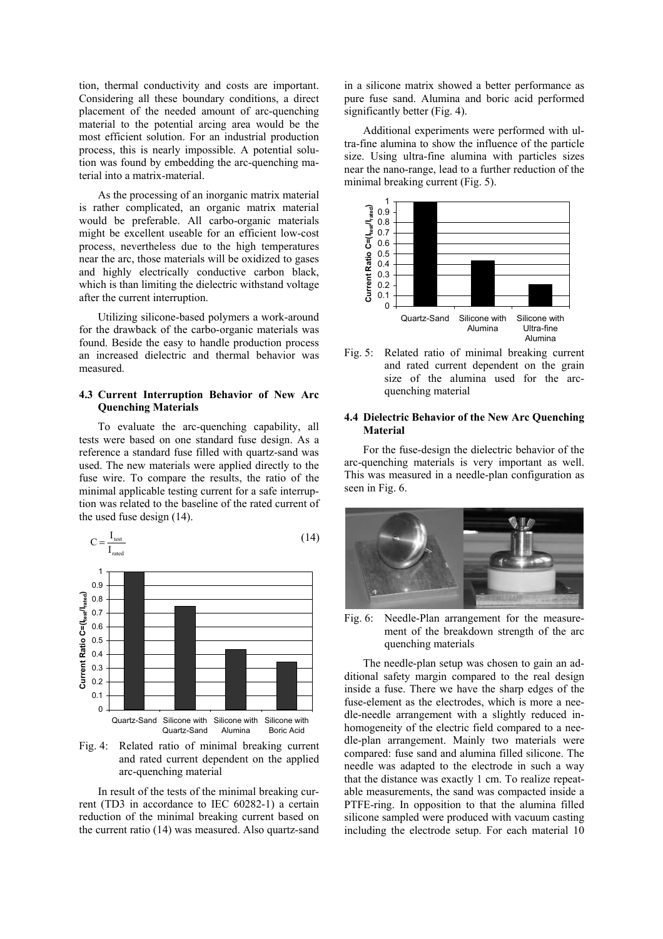tion, thermal conductivity and costs are important. Considering all these boundary conditions, a direct placement of the needed amount of arc-quenching material to the potential arcing area would be the most efficient solution. For an industrial production process, this is nearly impossible. A potential solution was found by embedding the arc-quenching material into a matrix-material.

As the processing of an inorganic matrix material is rather complicated, an organic matrix material would be preferable. All carbo-organic materials might be excellent useable for an efficient low-cost process, nevertheless due to the high temperatures near the arc, those materials will be oxidized to gases and highly electrically conductive carbon black, which is than limiting the dielectric withstand voltage after the current interruption.

Utilizing silicone-based polymers a work-around for the drawback of the carbo-organic materials was found. Beside the easy to handle production process an increased dielectric and thermal behavior was measured.

### **4.3 Current Interruption Behavior of New Arc Quenching Materials**

To evaluate the arc-quenching capability, all tests were based on one standard fuse design. As a reference a standard fuse filled with quartz-sand was used. The new materials were applied directly to the fuse wire. To compare the results, the ratio of the minimal applicable testing current for a safe interruption was related to the baseline of the rated current of the used fuse design (14).



Fig. 4: Related ratio of minimal breaking current and rated current dependent on the applied arc-quenching material

In result of the tests of the minimal breaking current (TD3 in accordance to IEC 60282-1) a certain reduction of the minimal breaking current based on the current ratio (14) was measured. Also quartz-sand

in a silicone matrix showed a better performance as pure fuse sand. Alumina and boric acid performed significantly better (Fig. 4).

Additional experiments were performed with ultra-fine alumina to show the influence of the particle size. Using ultra-fine alumina with particles sizes near the nano-range, lead to a further reduction of the minimal breaking current (Fig. 5).



Fig. 5: Related ratio of minimal breaking current and rated current dependent on the grain size of the alumina used for the arcquenching material

#### **4.4 Dielectric Behavior of the New Arc Quenching Material**

For the fuse-design the dielectric behavior of the arc-quenching materials is very important as well. This was measured in a needle-plan configuration as seen in Fig. 6.



Fig. 6: Needle-Plan arrangement for the measurement of the breakdown strength of the arc quenching materials

The needle-plan setup was chosen to gain an additional safety margin compared to the real design inside a fuse. There we have the sharp edges of the fuse-element as the electrodes, which is more a needle-needle arrangement with a slightly reduced inhomogeneity of the electric field compared to a needle-plan arrangement. Mainly two materials were compared: fuse sand and alumina filled silicone. The needle was adapted to the electrode in such a way that the distance was exactly 1 cm. To realize repeatable measurements, the sand was compacted inside a PTFE-ring. In opposition to that the alumina filled silicone sampled were produced with vacuum casting including the electrode setup. For each material 10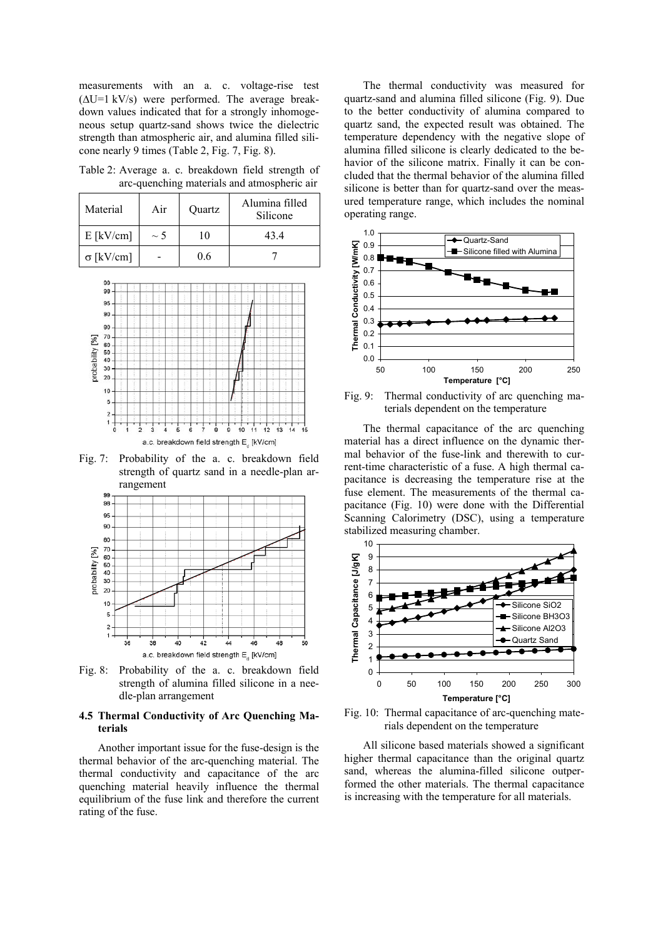measurements with an a. c. voltage-rise test (∆U=1 kV/s) were performed. The average breakdown values indicated that for a strongly inhomogeneous setup quartz-sand shows twice the dielectric strength than atmospheric air, and alumina filled silicone nearly 9 times (Table 2, Fig. 7, Fig. 8).

Table 2: Average a. c. breakdown field strength of arc-quenching materials and atmospheric air

| Material         | Air      | Quartz | Alumina filled<br>Silicone |
|------------------|----------|--------|----------------------------|
| $E$ [kV/cm]      | $\sim$ 5 | 10     | 434                        |
| $\sigma$ [kV/cm] |          | 0.6    |                            |



Fig. 7: Probability of the a. c. breakdown field strength of quartz sand in a needle-plan arrangement



Fig. 8: Probability of the a. c. breakdown field strength of alumina filled silicone in a needle-plan arrangement

## **4.5 Thermal Conductivity of Arc Quenching Materials**

Another important issue for the fuse-design is the thermal behavior of the arc-quenching material. The thermal conductivity and capacitance of the arc quenching material heavily influence the thermal equilibrium of the fuse link and therefore the current rating of the fuse.

The thermal conductivity was measured for quartz-sand and alumina filled silicone (Fig. 9). Due to the better conductivity of alumina compared to quartz sand, the expected result was obtained. The temperature dependency with the negative slope of alumina filled silicone is clearly dedicated to the behavior of the silicone matrix. Finally it can be concluded that the thermal behavior of the alumina filled silicone is better than for quartz-sand over the measured temperature range, which includes the nominal operating range.



Fig. 9: Thermal conductivity of arc quenching materials dependent on the temperature

The thermal capacitance of the arc quenching material has a direct influence on the dynamic thermal behavior of the fuse-link and therewith to current-time characteristic of a fuse. A high thermal capacitance is decreasing the temperature rise at the fuse element. The measurements of the thermal capacitance (Fig. 10) were done with the Differential Scanning Calorimetry (DSC), using a temperature stabilized measuring chamber.



Fig. 10: Thermal capacitance of arc-quenching materials dependent on the temperature

All silicone based materials showed a significant higher thermal capacitance than the original quartz sand, whereas the alumina-filled silicone outperformed the other materials. The thermal capacitance is increasing with the temperature for all materials.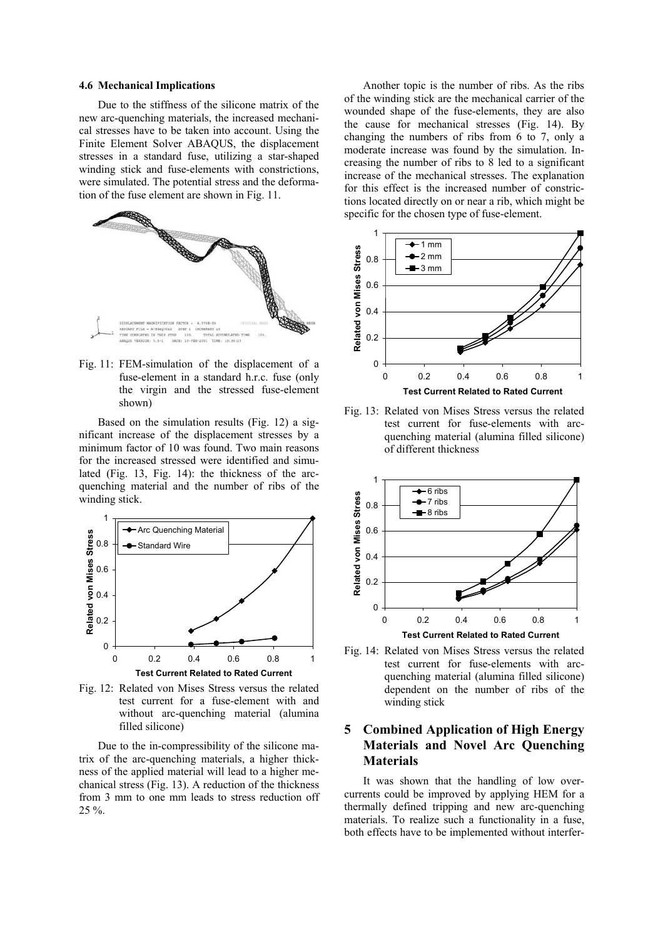#### **4.6 Mechanical Implications**

Due to the stiffness of the silicone matrix of the new arc-quenching materials, the increased mechanical stresses have to be taken into account. Using the Finite Element Solver ABAQUS, the displacement stresses in a standard fuse, utilizing a star-shaped winding stick and fuse-elements with constrictions. were simulated. The potential stress and the deformation of the fuse element are shown in Fig. 11.



Fig. 11: FEM-simulation of the displacement of a fuse-element in a standard h.r.c. fuse (only the virgin and the stressed fuse-element shown)

Based on the simulation results (Fig. 12) a significant increase of the displacement stresses by a minimum factor of 10 was found. Two main reasons for the increased stressed were identified and simulated (Fig. 13, Fig. 14): the thickness of the arcquenching material and the number of ribs of the winding stick.



Fig. 12: Related von Mises Stress versus the related test current for a fuse-element with and without arc-quenching material (alumina filled silicone)

Due to the in-compressibility of the silicone matrix of the arc-quenching materials, a higher thickness of the applied material will lead to a higher mechanical stress (Fig. 13). A reduction of the thickness from 3 mm to one mm leads to stress reduction off 25 %.

Another topic is the number of ribs. As the ribs of the winding stick are the mechanical carrier of the wounded shape of the fuse-elements, they are also the cause for mechanical stresses (Fig. 14). By changing the numbers of ribs from 6 to 7, only a moderate increase was found by the simulation. Increasing the number of ribs to 8 led to a significant increase of the mechanical stresses. The explanation for this effect is the increased number of constrictions located directly on or near a rib, which might be specific for the chosen type of fuse-element.



Fig. 13: Related von Mises Stress versus the related test current for fuse-elements with arcquenching material (alumina filled silicone) of different thickness



Fig. 14: Related von Mises Stress versus the related test current for fuse-elements with arcquenching material (alumina filled silicone) dependent on the number of ribs of the winding stick

# **5 Combined Application of High Energy Materials and Novel Arc Quenching Materials**

It was shown that the handling of low overcurrents could be improved by applying HEM for a thermally defined tripping and new arc-quenching materials. To realize such a functionality in a fuse, both effects have to be implemented without interfer-